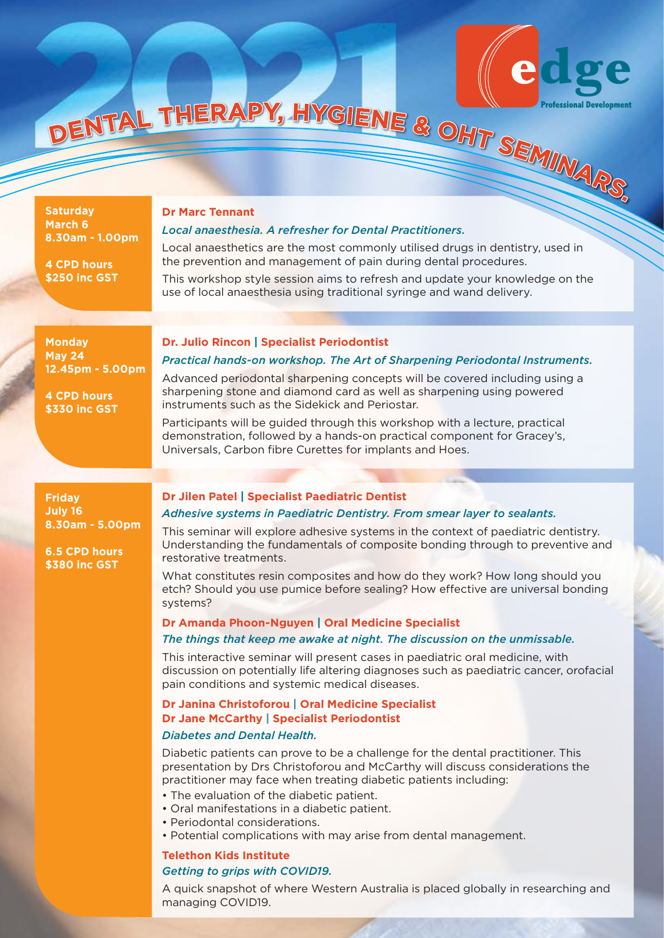

**Saturday March 6 8.30am - 1.00pm**

**4 CPD hours \$250 inc GST**

# *Local anaesthesia. A refresher for Dental Practitioners.*

Local anaesthetics are the most commonly utilised drugs in dentistry, used in the prevention and management of pain during dental procedures.

This workshop style session aims to refresh and update your knowledge on the use of local anaesthesia using traditional syringe and wand delivery.

**Monday May 24 12.45pm - 5.00pm**

#### **Dr. Julio Rincon | Specialist Periodontist**

# *Practical hands-on workshop. The Art of Sharpening Periodontal Instruments.* Advanced periodontal sharpening concepts will be covered including using a

**4 CPD hours \$330 inc GST**

# instruments such as the Sidekick and Periostar. Participants will be guided through this workshop with a lecture, practical demonstration, followed by a hands-on practical component for Gracey's,

sharpening stone and diamond card as well as sharpening using powered

**Friday July 16 8.30am - 5.00pm**

**6.5 CPD hours \$380 inc GST**

#### **Dr Jilen Patel | Specialist Paediatric Dentist**

# *Adhesive systems in Paediatric Dentistry. From smear layer to sealants.*

This seminar will explore adhesive systems in the context of paediatric dentistry. Understanding the fundamentals of composite bonding through to preventive and restorative treatments.

What constitutes resin composites and how do they work? How long should you etch? Should you use pumice before sealing? How effective are universal bonding systems?

# **Dr Amanda Phoon-Nguyen | Oral Medicine Specialist**

Universals, Carbon fibre Curettes for implants and Hoes.

### *The things that keep me awake at night. The discussion on the unmissable.*

This interactive seminar will present cases in paediatric oral medicine, with discussion on potentially life altering diagnoses such as paediatric cancer, orofacial pain conditions and systemic medical diseases.

# **Dr Janina Christoforou | Oral Medicine Specialist Dr Jane McCarthy | Specialist Periodontist**

# *Diabetes and Dental Health.*

Diabetic patients can prove to be a challenge for the dental practitioner. This presentation by Drs Christoforou and McCarthy will discuss considerations the practitioner may face when treating diabetic patients including:

• The evaluation of the diabetic patient.

- Oral manifestations in a diabetic patient.
- Periodontal considerations.
- Potential complications with may arise from dental management.

# **Telethon Kids Institute** *Getting to grips with COVID19.*

A quick snapshot of where Western Australia is placed globally in researching and managing COVID19.